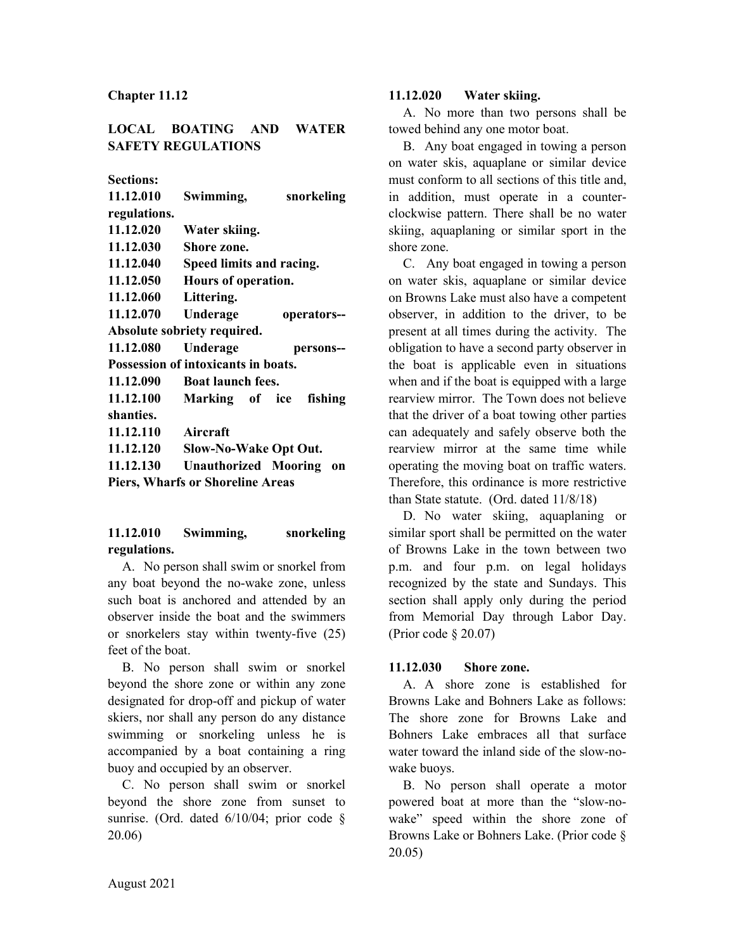**Chapter 11.12**

# **LOCAL BOATING AND WATER SAFETY REGULATIONS**

**Sections:**

| 11.12.010                               | Swimming,                    | snorkeling  |  |  |
|-----------------------------------------|------------------------------|-------------|--|--|
| regulations.                            |                              |             |  |  |
| 11.12.020                               | Water skiing.                |             |  |  |
| 11.12.030                               | Shore zone.                  |             |  |  |
| 11.12.040                               | Speed limits and racing.     |             |  |  |
| 11.12.050                               | Hours of operation.          |             |  |  |
| 11.12.060                               | Littering.                   |             |  |  |
| 11.12.070                               | Underage                     | operators-- |  |  |
| Absolute sobriety required.             |                              |             |  |  |
| 11.12.080                               | Underage                     | persons--   |  |  |
| Possession of intoxicants in boats.     |                              |             |  |  |
| 11.12.090                               | <b>Boat launch fees.</b>     |             |  |  |
| 11.12.100                               | Marking of ice               | fishing     |  |  |
| shanties.                               |                              |             |  |  |
| 11.12.110                               | Aircraft                     |             |  |  |
| 11.12.120                               | <b>Slow-No-Wake Opt Out.</b> |             |  |  |
| 11.12.130                               | <b>Unauthorized Mooring</b>  | <b>on</b>   |  |  |
| <b>Piers, Wharfs or Shoreline Areas</b> |                              |             |  |  |

# **11.12.010 Swimming, snorkeling regulations.**

A. No person shall swim or snorkel from any boat beyond the no-wake zone, unless such boat is anchored and attended by an observer inside the boat and the swimmers or snorkelers stay within twenty-five (25) feet of the boat.

B. No person shall swim or snorkel beyond the shore zone or within any zone designated for drop-off and pickup of water skiers, nor shall any person do any distance swimming or snorkeling unless he is accompanied by a boat containing a ring buoy and occupied by an observer.

C. No person shall swim or snorkel beyond the shore zone from sunset to sunrise. (Ord. dated 6/10/04; prior code § 20.06)

## **11.12.020 Water skiing.**

A. No more than two persons shall be towed behind any one motor boat.

B. Any boat engaged in towing a person on water skis, aquaplane or similar device must conform to all sections of this title and, in addition, must operate in a counterclockwise pattern. There shall be no water skiing, aquaplaning or similar sport in the shore zone.

C. Any boat engaged in towing a person on water skis, aquaplane or similar device on Browns Lake must also have a competent observer, in addition to the driver, to be present at all times during the activity. The obligation to have a second party observer in the boat is applicable even in situations when and if the boat is equipped with a large rearview mirror. The Town does not believe that the driver of a boat towing other parties can adequately and safely observe both the rearview mirror at the same time while operating the moving boat on traffic waters. Therefore, this ordinance is more restrictive than State statute. (Ord. dated 11/8/18)

D. No water skiing, aquaplaning or similar sport shall be permitted on the water of Browns Lake in the town between two p.m. and four p.m. on legal holidays recognized by the state and Sundays. This section shall apply only during the period from Memorial Day through Labor Day. (Prior code § 20.07)

# **11.12.030 Shore zone.**

A. A shore zone is established for Browns Lake and Bohners Lake as follows: The shore zone for Browns Lake and Bohners Lake embraces all that surface water toward the inland side of the slow-nowake buoys.

B. No person shall operate a motor powered boat at more than the "slow-nowake" speed within the shore zone of Browns Lake or Bohners Lake. (Prior code § 20.05)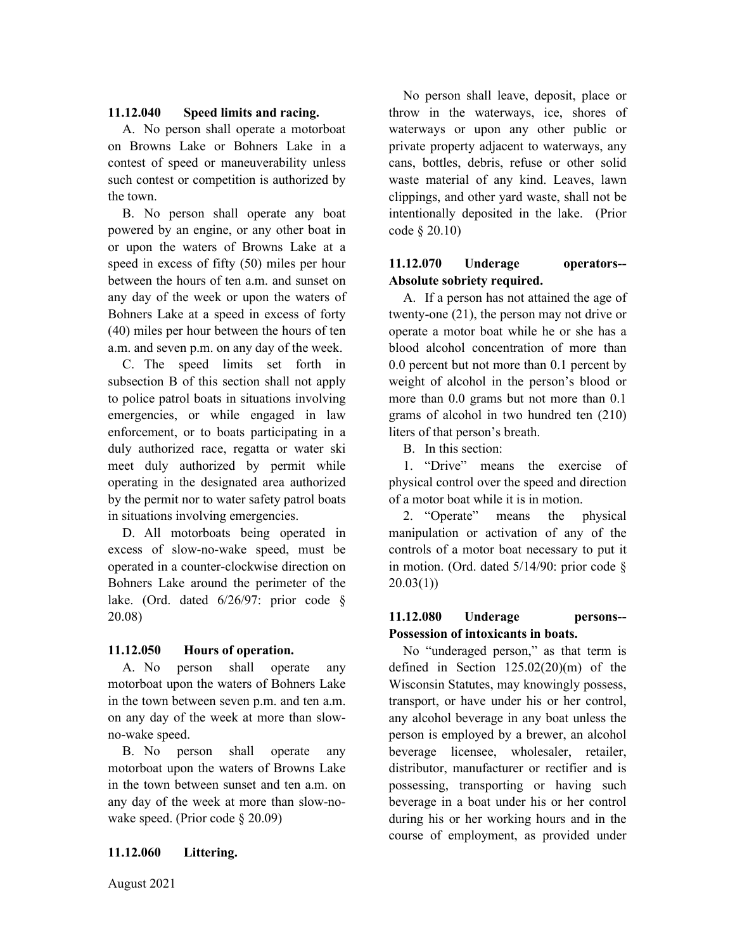### **11.12.040 Speed limits and racing.**

A. No person shall operate a motorboat on Browns Lake or Bohners Lake in a contest of speed or maneuverability unless such contest or competition is authorized by the town.

B. No person shall operate any boat powered by an engine, or any other boat in or upon the waters of Browns Lake at a speed in excess of fifty (50) miles per hour between the hours of ten a.m. and sunset on any day of the week or upon the waters of Bohners Lake at a speed in excess of forty (40) miles per hour between the hours of ten a.m. and seven p.m. on any day of the week.

C. The speed limits set forth in subsection B of this section shall not apply to police patrol boats in situations involving emergencies, or while engaged in law enforcement, or to boats participating in a duly authorized race, regatta or water ski meet duly authorized by permit while operating in the designated area authorized by the permit nor to water safety patrol boats in situations involving emergencies.

D. All motorboats being operated in excess of slow-no-wake speed, must be operated in a counter-clockwise direction on Bohners Lake around the perimeter of the lake. (Ord. dated 6/26/97: prior code § 20.08)

### **11.12.050 Hours of operation.**

A. No person shall operate any motorboat upon the waters of Bohners Lake in the town between seven p.m. and ten a.m. on any day of the week at more than slowno-wake speed.

B. No person shall operate any motorboat upon the waters of Browns Lake in the town between sunset and ten a.m. on any day of the week at more than slow-nowake speed. (Prior code § 20.09)

### **11.12.060 Littering.**

No person shall leave, deposit, place or throw in the waterways, ice, shores of waterways or upon any other public or private property adjacent to waterways, any cans, bottles, debris, refuse or other solid waste material of any kind. Leaves, lawn clippings, and other yard waste, shall not be intentionally deposited in the lake. (Prior code § 20.10)

## **11.12.070 Underage operators-- Absolute sobriety required.**

A. If a person has not attained the age of twenty-one (21), the person may not drive or operate a motor boat while he or she has a blood alcohol concentration of more than 0.0 percent but not more than 0.1 percent by weight of alcohol in the person's blood or more than 0.0 grams but not more than 0.1 grams of alcohol in two hundred ten (210) liters of that person's breath.

B. In this section:

1. "Drive" means the exercise of physical control over the speed and direction of a motor boat while it is in motion.

2. "Operate" means the physical manipulation or activation of any of the controls of a motor boat necessary to put it in motion. (Ord. dated 5/14/90: prior code §  $20.03(1)$ 

### **11.12.080 Underage persons-- Possession of intoxicants in boats.**

No "underaged person," as that term is defined in Section 125.02(20)(m) of the Wisconsin Statutes, may knowingly possess, transport, or have under his or her control, any alcohol beverage in any boat unless the person is employed by a brewer, an alcohol beverage licensee, wholesaler, retailer, distributor, manufacturer or rectifier and is possessing, transporting or having such beverage in a boat under his or her control during his or her working hours and in the course of employment, as provided under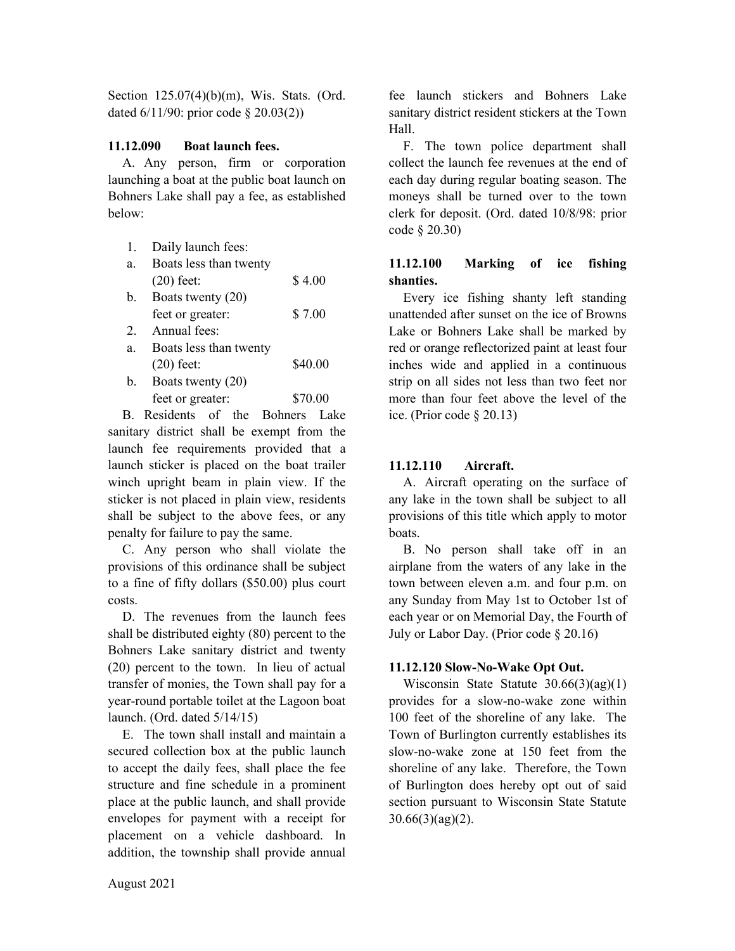Section 125.07(4)(b)(m), Wis. Stats. (Ord. dated 6/11/90: prior code § 20.03(2))

# **11.12.090 Boat launch fees.**

A. Any person, firm or corporation launching a boat at the public boat launch on Bohners Lake shall pay a fee, as established below:

| 1. | Daily launch fees:     |         |
|----|------------------------|---------|
| a. | Boats less than twenty |         |
|    | $(20)$ feet:           | \$4.00  |
| b. | Boats twenty (20)      |         |
|    | feet or greater:       | \$7.00  |
| 2. | Annual fees:           |         |
| a. | Boats less than twenty |         |
|    | $(20)$ feet:           | \$40.00 |
| b. | Boats twenty (20)      |         |
|    | feet or greater:       | \$70.00 |
|    |                        |         |

B. Residents of the Bohners Lake sanitary district shall be exempt from the launch fee requirements provided that a launch sticker is placed on the boat trailer winch upright beam in plain view. If the sticker is not placed in plain view, residents shall be subject to the above fees, or any penalty for failure to pay the same.

C. Any person who shall violate the provisions of this ordinance shall be subject to a fine of fifty dollars (\$50.00) plus court costs.

D. The revenues from the launch fees shall be distributed eighty (80) percent to the Bohners Lake sanitary district and twenty (20) percent to the town. In lieu of actual transfer of monies, the Town shall pay for a year-round portable toilet at the Lagoon boat launch. (Ord. dated 5/14/15)

E. The town shall install and maintain a secured collection box at the public launch to accept the daily fees, shall place the fee structure and fine schedule in a prominent place at the public launch, and shall provide envelopes for payment with a receipt for placement on a vehicle dashboard. In addition, the township shall provide annual

fee launch stickers and Bohners Lake sanitary district resident stickers at the Town Hall.

F. The town police department shall collect the launch fee revenues at the end of each day during regular boating season. The moneys shall be turned over to the town clerk for deposit. (Ord. dated 10/8/98: prior code § 20.30)

# **11.12.100 Marking of ice fishing shanties.**

Every ice fishing shanty left standing unattended after sunset on the ice of Browns Lake or Bohners Lake shall be marked by red or orange reflectorized paint at least four inches wide and applied in a continuous strip on all sides not less than two feet nor more than four feet above the level of the ice. (Prior code § 20.13)

# **11.12.110 Aircraft.**

A. Aircraft operating on the surface of any lake in the town shall be subject to all provisions of this title which apply to motor boats.

B. No person shall take off in an airplane from the waters of any lake in the town between eleven a.m. and four p.m. on any Sunday from May 1st to October 1st of each year or on Memorial Day, the Fourth of July or Labor Day. (Prior code § 20.16)

# **11.12.120 Slow-No-Wake Opt Out.**

Wisconsin State Statute 30.66(3)(ag)(1) provides for a slow-no-wake zone within 100 feet of the shoreline of any lake. The Town of Burlington currently establishes its slow-no-wake zone at 150 feet from the shoreline of any lake. Therefore, the Town of Burlington does hereby opt out of said section pursuant to Wisconsin State Statute 30.66(3)(ag)(2).